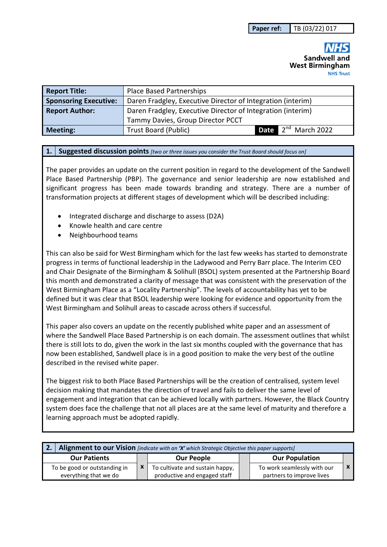# Sandwell and **West Birmingham NHS Trust**

| <b>Report Title:</b>         | <b>Place Based Partnerships</b>                             |                                 |  |
|------------------------------|-------------------------------------------------------------|---------------------------------|--|
| <b>Sponsoring Executive:</b> | Daren Fradgley, Executive Director of Integration (interim) |                                 |  |
| <b>Report Author:</b>        | Daren Fradgley, Executive Director of Integration (interim) |                                 |  |
|                              | Tammy Davies, Group Director PCCT                           |                                 |  |
| Meeting:                     | <b>Trust Board (Public)</b>                                 | Date 2 <sup>nd</sup> March 2022 |  |

#### **1. Suggested discussion points** *[two or three issues you consider the Trust Board should focus on]*

The paper provides an update on the current position in regard to the development of the Sandwell Place Based Partnership (PBP). The governance and senior leadership are now established and significant progress has been made towards branding and strategy. There are a number of transformation projects at different stages of development which will be described including:

- Integrated discharge and discharge to assess (D2A)
- Knowle health and care centre
- Neighbourhood teams

This can also be said for West Birmingham which for the last few weeks has started to demonstrate progress in terms of functional leadership in the Ladywood and Perry Barr place. The Interim CEO and Chair Designate of the Birmingham & Solihull (BSOL) system presented at the Partnership Board this month and demonstrated a clarity of message that was consistent with the preservation of the West Birmingham Place as a "Locality Partnership". The levels of accountability has yet to be defined but it was clear that BSOL leadership were looking for evidence and opportunity from the West Birmingham and Solihull areas to cascade across others if successful.

This paper also covers an update on the recently published white paper and an assessment of where the Sandwell Place Based Partnership is on each domain. The assessment outlines that whilst there is still lots to do, given the work in the last six months coupled with the governance that has now been established, Sandwell place is in a good position to make the very best of the outline described in the revised white paper.

The biggest risk to both Place Based Partnerships will be the creation of centralised, system level decision making that mandates the direction of travel and fails to deliver the same level of engagement and integration that can be achieved locally with partners. However, the Black Country system does face the challenge that not all places are at the same level of maturity and therefore a learning approach must be adopted rapidly.

| Alignment to our Vision [indicate with an 'X' which Strategic Objective this paper supports] |                                 |                              |  |                             |  |  |  |  |
|----------------------------------------------------------------------------------------------|---------------------------------|------------------------------|--|-----------------------------|--|--|--|--|
| <b>Our Patients</b>                                                                          |                                 | <b>Our People</b>            |  | <b>Our Population</b>       |  |  |  |  |
| To be good or outstanding in                                                                 | To cultivate and sustain happy, |                              |  | To work seamlessly with our |  |  |  |  |
| everything that we do                                                                        |                                 | productive and engaged staff |  | partners to improve lives   |  |  |  |  |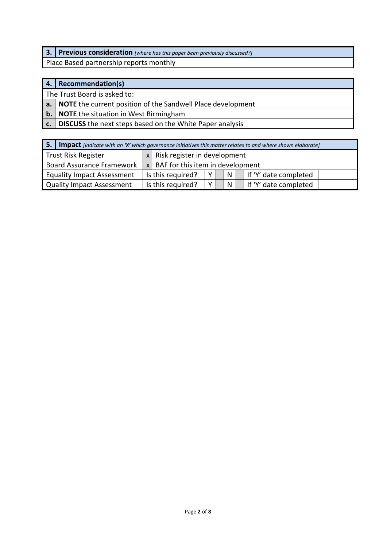**3. Previous consideration** *[where has this paper been previously discussed?]*

Place Based partnership reports monthly

# **4. Recommendation(s)**

The Trust Board is asked to:

**a. NOTE** the current position of the Sandwell Place development

**b. NOTE** the situation in West Birmingham

**c. DISCUSS** the next steps based on the White Paper analysis

| -5.<br><b>Impact</b> [indicate with an 'X' which governance initiatives this matter relates to and where shown elaborate] |  |                                      |   |  |   |  |                       |
|---------------------------------------------------------------------------------------------------------------------------|--|--------------------------------------|---|--|---|--|-----------------------|
| Trust Risk Register                                                                                                       |  | Risk register in development         |   |  |   |  |                       |
| <b>Board Assurance Framework</b>                                                                                          |  | $x$ BAF for this item in development |   |  |   |  |                       |
| <b>Equality Impact Assessment</b>                                                                                         |  | Is this required?                    | v |  | N |  | If 'Y' date completed |
| Quality Impact Assessment                                                                                                 |  | Is this required?                    | v |  | N |  | If 'Y' date completed |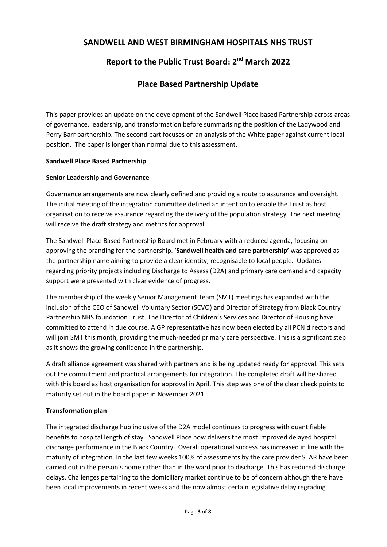# **SANDWELL AND WEST BIRMINGHAM HOSPITALS NHS TRUST**

# **Report to the Public Trust Board: 2nd March 2022**

# **Place Based Partnership Update**

This paper provides an update on the development of the Sandwell Place based Partnership across areas of governance, leadership, and transformation before summarising the position of the Ladywood and Perry Barr partnership. The second part focuses on an analysis of the White paper against current local position. The paper is longer than normal due to this assessment.

#### **Sandwell Place Based Partnership**

#### **Senior Leadership and Governance**

Governance arrangements are now clearly defined and providing a route to assurance and oversight. The initial meeting of the integration committee defined an intention to enable the Trust as host organisation to receive assurance regarding the delivery of the population strategy. The next meeting will receive the draft strategy and metrics for approval.

The Sandwell Place Based Partnership Board met in February with a reduced agenda, focusing on approving the branding for the partnership. '**Sandwell health and care partnership'** was approved as the partnership name aiming to provide a clear identity, recognisable to local people. Updates regarding priority projects including Discharge to Assess (D2A) and primary care demand and capacity support were presented with clear evidence of progress.

The membership of the weekly Senior Management Team (SMT) meetings has expanded with the inclusion of the CEO of Sandwell Voluntary Sector (SCVO) and Director of Strategy from Black Country Partnership NHS foundation Trust. The Director of Children's Services and Director of Housing have committed to attend in due course. A GP representative has now been elected by all PCN directors and will join SMT this month, providing the much-needed primary care perspective. This is a significant step as it shows the growing confidence in the partnership.

A draft alliance agreement was shared with partners and is being updated ready for approval. This sets out the commitment and practical arrangements for integration. The completed draft will be shared with this board as host organisation for approval in April. This step was one of the clear check points to maturity set out in the board paper in November 2021.

#### **Transformation plan**

The integrated discharge hub inclusive of the D2A model continues to progress with quantifiable benefits to hospital length of stay. Sandwell Place now delivers the most improved delayed hospital discharge performance in the Black Country. Overall operational success has increased in line with the maturity of integration. In the last few weeks 100% of assessments by the care provider STAR have been carried out in the person's home rather than in the ward prior to discharge. This has reduced discharge delays. Challenges pertaining to the domiciliary market continue to be of concern although there have been local improvements in recent weeks and the now almost certain legislative delay regrading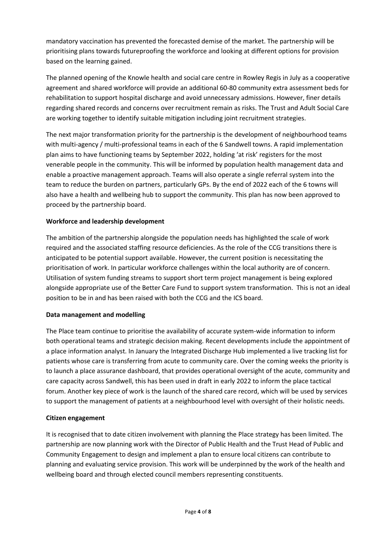mandatory vaccination has prevented the forecasted demise of the market. The partnership will be prioritising plans towards futureproofing the workforce and looking at different options for provision based on the learning gained.

The planned opening of the Knowle health and social care centre in Rowley Regis in July as a cooperative agreement and shared workforce will provide an additional 60-80 community extra assessment beds for rehabilitation to support hospital discharge and avoid unnecessary admissions. However, finer details regarding shared records and concerns over recruitment remain as risks. The Trust and Adult Social Care are working together to identify suitable mitigation including joint recruitment strategies.

The next major transformation priority for the partnership is the development of neighbourhood teams with multi-agency / multi-professional teams in each of the 6 Sandwell towns. A rapid implementation plan aims to have functioning teams by September 2022, holding 'at risk' registers for the most venerable people in the community. This will be informed by population health management data and enable a proactive management approach. Teams will also operate a single referral system into the team to reduce the burden on partners, particularly GPs. By the end of 2022 each of the 6 towns will also have a health and wellbeing hub to support the community. This plan has now been approved to proceed by the partnership board.

#### **Workforce and leadership development**

The ambition of the partnership alongside the population needs has highlighted the scale of work required and the associated staffing resource deficiencies. As the role of the CCG transitions there is anticipated to be potential support available. However, the current position is necessitating the prioritisation of work. In particular workforce challenges within the local authority are of concern. Utilisation of system funding streams to support short term project management is being explored alongside appropriate use of the Better Care Fund to support system transformation. This is not an ideal position to be in and has been raised with both the CCG and the ICS board.

#### **Data management and modelling**

The Place team continue to prioritise the availability of accurate system-wide information to inform both operational teams and strategic decision making. Recent developments include the appointment of a place information analyst. In January the Integrated Discharge Hub implemented a live tracking list for patients whose care is transferring from acute to community care. Over the coming weeks the priority is to launch a place assurance dashboard, that provides operational oversight of the acute, community and care capacity across Sandwell, this has been used in draft in early 2022 to inform the place tactical forum. Another key piece of work is the launch of the shared care record, which will be used by services to support the management of patients at a neighbourhood level with oversight of their holistic needs.

#### **Citizen engagement**

It is recognised that to date citizen involvement with planning the Place strategy has been limited. The partnership are now planning work with the Director of Public Health and the Trust Head of Public and Community Engagement to design and implement a plan to ensure local citizens can contribute to planning and evaluating service provision. This work will be underpinned by the work of the health and wellbeing board and through elected council members representing constituents.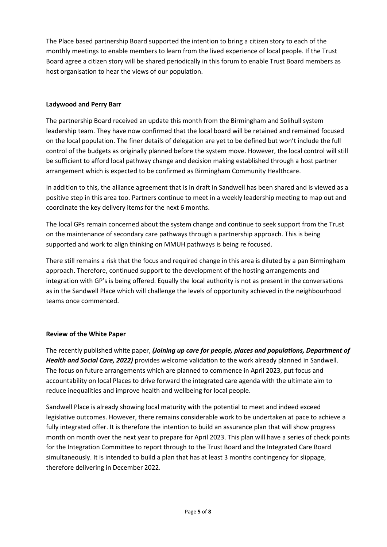The Place based partnership Board supported the intention to bring a citizen story to each of the monthly meetings to enable members to learn from the lived experience of local people. If the Trust Board agree a citizen story will be shared periodically in this forum to enable Trust Board members as host organisation to hear the views of our population.

#### **Ladywood and Perry Barr**

The partnership Board received an update this month from the Birmingham and Solihull system leadership team. They have now confirmed that the local board will be retained and remained focused on the local population. The finer details of delegation are yet to be defined but won't include the full control of the budgets as originally planned before the system move. However, the local control will still be sufficient to afford local pathway change and decision making established through a host partner arrangement which is expected to be confirmed as Birmingham Community Healthcare.

In addition to this, the alliance agreement that is in draft in Sandwell has been shared and is viewed as a positive step in this area too. Partners continue to meet in a weekly leadership meeting to map out and coordinate the key delivery items for the next 6 months.

The local GPs remain concerned about the system change and continue to seek support from the Trust on the maintenance of secondary care pathways through a partnership approach. This is being supported and work to align thinking on MMUH pathways is being re focused.

There still remains a risk that the focus and required change in this area is diluted by a pan Birmingham approach. Therefore, continued support to the development of the hosting arrangements and integration with GP's is being offered. Equally the local authority is not as present in the conversations as in the Sandwell Place which will challenge the levels of opportunity achieved in the neighbourhood teams once commenced.

# **Review of the White Paper**

The recently published white paper, *(Joining up care for people, places and populations, Department of Health and Social Care, 2022)* provides welcome validation to the work already planned in Sandwell. The focus on future arrangements which are planned to commence in April 2023, put focus and accountability on local Places to drive forward the integrated care agenda with the ultimate aim to reduce inequalities and improve health and wellbeing for local people.

Sandwell Place is already showing local maturity with the potential to meet and indeed exceed legislative outcomes. However, there remains considerable work to be undertaken at pace to achieve a fully integrated offer. It is therefore the intention to build an assurance plan that will show progress month on month over the next year to prepare for April 2023. This plan will have a series of check points for the Integration Committee to report through to the Trust Board and the Integrated Care Board simultaneously. It is intended to build a plan that has at least 3 months contingency for slippage, therefore delivering in December 2022.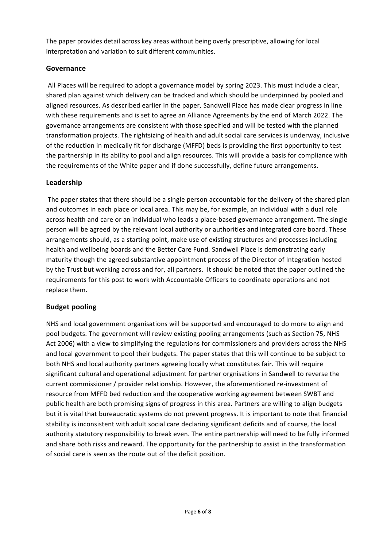The paper provides detail across key areas without being overly prescriptive, allowing for local interpretation and variation to suit different communities.

# **Governance**

All Places will be required to adopt a governance model by spring 2023. This must include a clear, shared plan against which delivery can be tracked and which should be underpinned by pooled and aligned resources. As described earlier in the paper, Sandwell Place has made clear progress in line with these requirements and is set to agree an Alliance Agreements by the end of March 2022. The governance arrangements are consistent with those specified and will be tested with the planned transformation projects. The rightsizing of health and adult social care services is underway, inclusive of the reduction in medically fit for discharge (MFFD) beds is providing the first opportunity to test the partnership in its ability to pool and align resources. This will provide a basis for compliance with the requirements of the White paper and if done successfully, define future arrangements.

#### **Leadership**

 The paper states that there should be a single person accountable for the delivery of the shared plan and outcomes in each place or local area. This may be, for example, an individual with a dual role across health and care or an individual who leads a place-based governance arrangement. The single person will be agreed by the relevant local authority or authorities and integrated care board. These arrangements should, as a starting point, make use of existing structures and processes including health and wellbeing boards and the Better Care Fund. Sandwell Place is demonstrating early maturity though the agreed substantive appointment process of the Director of Integration hosted by the Trust but working across and for, all partners. It should be noted that the paper outlined the requirements for this post to work with Accountable Officers to coordinate operations and not replace them.

# **Budget pooling**

NHS and local government organisations will be supported and encouraged to do more to align and pool budgets. The government will review existing pooling arrangements (such as Section 75, NHS Act 2006) with a view to simplifying the regulations for commissioners and providers across the NHS and local government to pool their budgets. The paper states that this will continue to be subject to both NHS and local authority partners agreeing locally what constitutes fair. This will require significant cultural and operational adjustment for partner orgnisations in Sandwell to reverse the current commissioner / provider relationship. However, the aforementioned re-investment of resource from MFFD bed reduction and the cooperative working agreement between SWBT and public health are both promising signs of progress in this area. Partners are willing to align budgets but it is vital that bureaucratic systems do not prevent progress. It is important to note that financial stability is inconsistent with adult social care declaring significant deficits and of course, the local authority statutory responsibility to break even. The entire partnership will need to be fully informed and share both risks and reward. The opportunity for the partnership to assist in the transformation of social care is seen as the route out of the deficit position.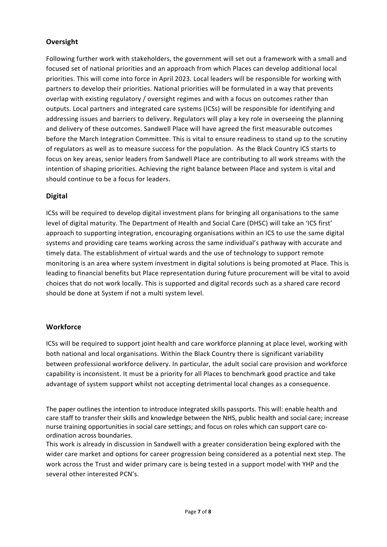# **Oversight**

Following further work with stakeholders, the government will set out a framework with a small and focused set of national priorities and an approach from which Places can develop additional local priorities. This will come into force in April 2023. Local leaders will be responsible for working with partners to develop their priorities. National priorities will be formulated in a way that prevents overlap with existing regulatory / oversight regimes and with a focus on outcomes rather than outputs. Local partners and integrated care systems (ICSs) will be responsible for identifying and addressing issues and barriers to delivery. Regulators will play a key role in overseeing the planning and delivery of these outcomes. Sandwell Place will have agreed the first measurable outcomes before the March Integration Committee. This is vital to ensure readiness to stand up to the scrutiny of regulators as well as to measure success for the population. As the Black Country ICS starts to focus on key areas, senior leaders from Sandwell Place are contributing to all work streams with the intention of shaping priorities. Achieving the right balance between Place and system is vital and should continue to be a focus for leaders.

# **Digital**

ICSs will be required to develop digital investment plans for bringing all organisations to the same level of digital maturity. The Department of Health and Social Care (DHSC) will take an 'ICS first' approach to supporting integration, encouraging organisations within an ICS to use the same digital systems and providing care teams working across the same individual's pathway with accurate and timely data. The establishment of virtual wards and the use of technology to support remote monitoring is an area where system investment in digital solutions is being promoted at Place. This is leading to financial benefits but Place representation during future procurement will be vital to avoid choices that do not work locally. This is supported and digital records such as a shared care record should be done at System if not a multi system level.

# **Workforce**

ICSs will be required to support joint health and care workforce planning at place level, working with both national and local organisations. Within the Black Country there is significant variability between professional workforce delivery. In particular, the adult social care provision and workforce capability is inconsistent. It must be a priority for all Places to benchmark good practice and take advantage of system support whilst not accepting detrimental local changes as a consequence.

The paper outlines the intention to introduce integrated skills passports. This will: enable health and care staff to transfer their skills and knowledge between the NHS, public health and social care; increase nurse training opportunities in social care settings; and focus on roles which can support care coordination across boundaries.

This work is already in discussion in Sandwell with a greater consideration being explored with the wider care market and options for career progression being considered as a potential next step. The work across the Trust and wider primary care is being tested in a support model with YHP and the several other interested PCN's.